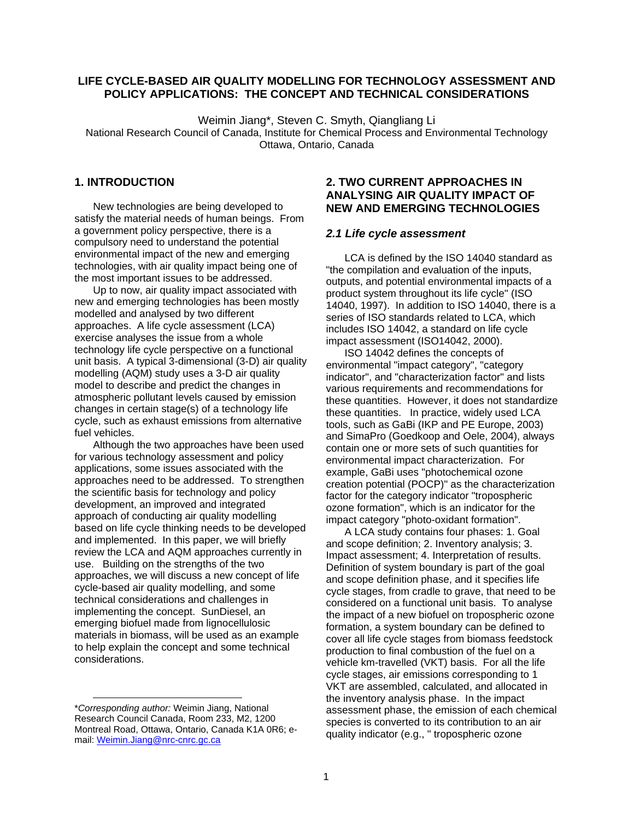## **LIFE CYCLE-BASED AIR QUALITY MODELLING FOR TECHNOLOGY ASSESSMENT AND POLICY APPLICATIONS: THE CONCEPT AND TECHNICAL CONSIDERATIONS**

Weimin Jiang\*, Steven C. Smyth, Qiangliang Li National Research Council of Canada, Institute for Chemical Process and Environmental Technology Ottawa, Ontario, Canada

# **1. INTRODUCTION**

New technologies are being developed to satisfy the material needs of human beings. From a government policy perspective, there is a compulsory need to understand the potential environmental impact of the new and emerging technologies, with air quality impact being one of the most important issues to be addressed.

Up to now, air quality impact associated with new and emerging technologies has been mostly modelled and analysed by two different approaches. A life cycle assessment (LCA) exercise analyses the issue from a whole technology life cycle perspective on a functional unit basis. A typical 3-dimensional (3-D) air quality modelling (AQM) study uses a 3-D air quality model to describe and predict the changes in atmospheric pollutant levels caused by emission changes in certain stage(s) of a technology life cycle, such as exhaust emissions from alternative fuel vehicles.

Although the two approaches have been used for various technology assessment and policy applications, some issues associated with the approaches need to be addressed. To strengthen the scientific basis for technology and policy development, an improved and integrated approach of conducting air quality modelling based on life cycle thinking needs to be developed and implemented. In this paper, we will briefly review the LCA and AQM approaches currently in use. Building on the strengths of the two approaches, we will discuss a new concept of life cycle-based air quality modelling, and some technical considerations and challenges in implementing the concept. SunDiesel, an emerging biofuel made from lignocellulosic materials in biomass, will be used as an example to help explain the concept and some technical considerations.

l

## **2. TWO CURRENT APPROACHES IN ANALYSING AIR QUALITY IMPACT OF NEW AND EMERGING TECHNOLOGIES**

### *2.1 Life cycle assessment*

LCA is defined by the ISO 14040 standard as "the compilation and evaluation of the inputs, outputs, and potential environmental impacts of a product system throughout its life cycle'' (ISO 14040, 1997). In addition to ISO 14040, there is a series of ISO standards related to LCA, which includes ISO 14042, a standard on life cycle impact assessment (ISO14042, 2000).

ISO 14042 defines the concepts of environmental "impact category", "category indicator", and "characterization factor" and lists various requirements and recommendations for these quantities. However, it does not standardize these quantities. In practice, widely used LCA tools, such as GaBi (IKP and PE Europe, 2003) and SimaPro (Goedkoop and Oele, 2004), always contain one or more sets of such quantities for environmental impact characterization. For example, GaBi uses "photochemical ozone creation potential (POCP)" as the characterization factor for the category indicator "tropospheric ozone formation", which is an indicator for the impact category "photo-oxidant formation".

A LCA study contains four phases: 1. Goal and scope definition; 2. Inventory analysis; 3. Impact assessment; 4. Interpretation of results. Definition of system boundary is part of the goal and scope definition phase, and it specifies life cycle stages, from cradle to grave, that need to be considered on a functional unit basis. To analyse the impact of a new biofuel on tropospheric ozone formation, a system boundary can be defined to cover all life cycle stages from biomass feedstock production to final combustion of the fuel on a vehicle km-travelled (VKT) basis. For all the life cycle stages, air emissions corresponding to 1 VKT are assembled, calculated, and allocated in the inventory analysis phase. In the impact assessment phase, the emission of each chemical species is converted to its contribution to an air quality indicator (e.g., " tropospheric ozone

<sup>\*</sup>*Corresponding author:* Weimin Jiang, National Research Council Canada, Room 233, M2, 1200 Montreal Road, Ottawa, Ontario, Canada K1A 0R6; email: Weimin.Jiang@nrc-cnrc.gc.ca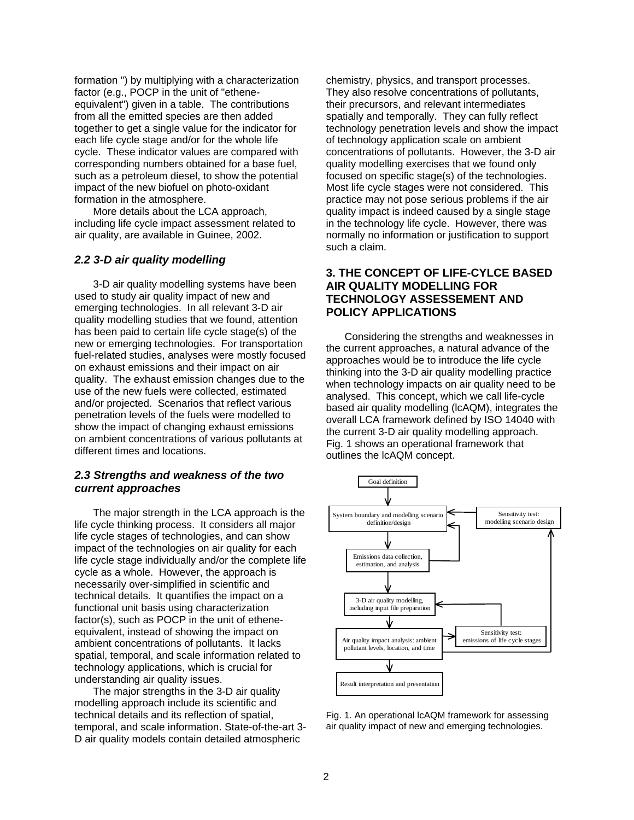formation ") by multiplying with a characterization factor (e.g., POCP in the unit of "etheneequivalent") given in a table. The contributions from all the emitted species are then added together to get a single value for the indicator for each life cycle stage and/or for the whole life cycle. These indicator values are compared with corresponding numbers obtained for a base fuel, such as a petroleum diesel, to show the potential impact of the new biofuel on photo-oxidant formation in the atmosphere.

More details about the LCA approach, including life cycle impact assessment related to air quality, are available in Guinee, 2002.

### *2.2 3-D air quality modelling*

3-D air quality modelling systems have been used to study air quality impact of new and emerging technologies. In all relevant 3-D air quality modelling studies that we found, attention has been paid to certain life cycle stage(s) of the new or emerging technologies. For transportation fuel-related studies, analyses were mostly focused on exhaust emissions and their impact on air quality. The exhaust emission changes due to the use of the new fuels were collected, estimated and/or projected. Scenarios that reflect various penetration levels of the fuels were modelled to show the impact of changing exhaust emissions on ambient concentrations of various pollutants at different times and locations.

## *2.3 Strengths and weakness of the two current approaches*

The major strength in the LCA approach is the life cycle thinking process. It considers all major life cycle stages of technologies, and can show impact of the technologies on air quality for each life cycle stage individually and/or the complete life cycle as a whole. However, the approach is necessarily over-simplified in scientific and technical details. It quantifies the impact on a functional unit basis using characterization factor(s), such as POCP in the unit of etheneequivalent, instead of showing the impact on ambient concentrations of pollutants. It lacks spatial, temporal, and scale information related to technology applications, which is crucial for understanding air quality issues.

The major strengths in the 3-D air quality modelling approach include its scientific and technical details and its reflection of spatial, temporal, and scale information. State-of-the-art 3- D air quality models contain detailed atmospheric

chemistry, physics, and transport processes. They also resolve concentrations of pollutants, their precursors, and relevant intermediates spatially and temporally. They can fully reflect technology penetration levels and show the impact of technology application scale on ambient concentrations of pollutants. However, the 3-D air quality modelling exercises that we found only focused on specific stage(s) of the technologies. Most life cycle stages were not considered. This practice may not pose serious problems if the air quality impact is indeed caused by a single stage in the technology life cycle. However, there was normally no information or justification to support such a claim.

## **3. THE CONCEPT OF LIFE-CYLCE BASED AIR QUALITY MODELLING FOR TECHNOLOGY ASSESSEMENT AND POLICY APPLICATIONS**

Considering the strengths and weaknesses in the current approaches, a natural advance of the approaches would be to introduce the life cycle thinking into the 3-D air quality modelling practice when technology impacts on air quality need to be analysed. This concept, which we call life-cycle based air quality modelling (lcAQM), integrates the overall LCA framework defined by ISO 14040 with the current 3-D air quality modelling approach. Fig. 1 shows an operational framework that outlines the lcAQM concept.



Fig. 1. An operational lcAQM framework for assessing air quality impact of new and emerging technologies.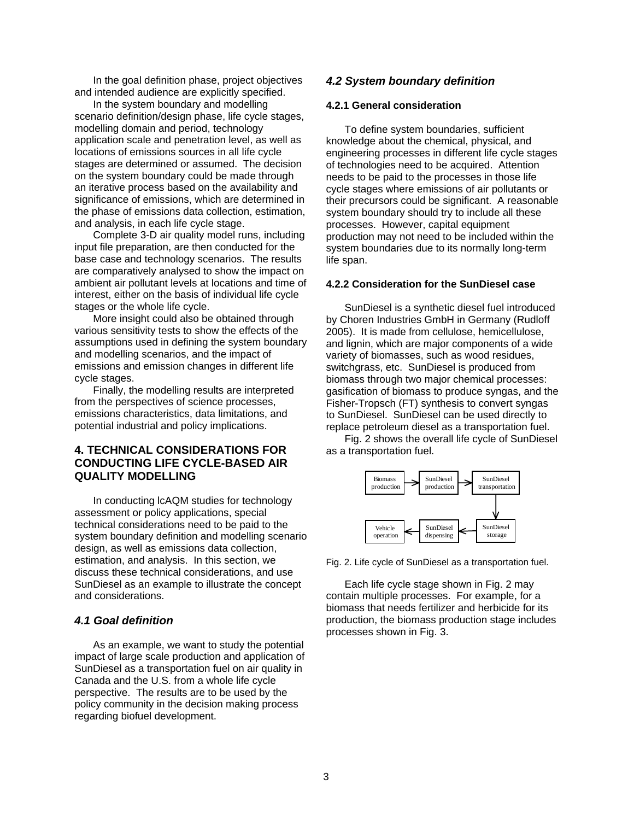In the goal definition phase, project objectives and intended audience are explicitly specified.

In the system boundary and modelling scenario definition/design phase, life cycle stages, modelling domain and period, technology application scale and penetration level, as well as locations of emissions sources in all life cycle stages are determined or assumed. The decision on the system boundary could be made through an iterative process based on the availability and significance of emissions, which are determined in the phase of emissions data collection, estimation, and analysis, in each life cycle stage.

Complete 3-D air quality model runs, including input file preparation, are then conducted for the base case and technology scenarios. The results are comparatively analysed to show the impact on ambient air pollutant levels at locations and time of interest, either on the basis of individual life cycle stages or the whole life cycle.

More insight could also be obtained through various sensitivity tests to show the effects of the assumptions used in defining the system boundary and modelling scenarios, and the impact of emissions and emission changes in different life cycle stages.

Finally, the modelling results are interpreted from the perspectives of science processes, emissions characteristics, data limitations, and potential industrial and policy implications.

## **4. TECHNICAL CONSIDERATIONS FOR CONDUCTING LIFE CYCLE-BASED AIR QUALITY MODELLING**

In conducting lcAQM studies for technology assessment or policy applications, special technical considerations need to be paid to the system boundary definition and modelling scenario design, as well as emissions data collection, estimation, and analysis. In this section, we discuss these technical considerations, and use SunDiesel as an example to illustrate the concept and considerations.

### *4.1 Goal definition*

As an example, we want to study the potential impact of large scale production and application of SunDiesel as a transportation fuel on air quality in Canada and the U.S. from a whole life cycle perspective. The results are to be used by the policy community in the decision making process regarding biofuel development.

### *4.2 System boundary definition*

#### **4.2.1 General consideration**

To define system boundaries, sufficient knowledge about the chemical, physical, and engineering processes in different life cycle stages of technologies need to be acquired. Attention needs to be paid to the processes in those life cycle stages where emissions of air pollutants or their precursors could be significant. A reasonable system boundary should try to include all these processes. However, capital equipment production may not need to be included within the system boundaries due to its normally long-term life span.

### **4.2.2 Consideration for the SunDiesel case**

SunDiesel is a synthetic diesel fuel introduced by Choren Industries GmbH in Germany (Rudloff 2005). It is made from cellulose, hemicellulose, and lignin, which are major components of a wide variety of biomasses, such as wood residues, switchgrass, etc. SunDiesel is produced from biomass through two major chemical processes: gasification of biomass to produce syngas, and the Fisher-Tropsch (FT) synthesis to convert syngas to SunDiesel. SunDiesel can be used directly to replace petroleum diesel as a transportation fuel.

Fig. 2 shows the overall life cycle of SunDiesel as a transportation fuel.



Fig. 2. Life cycle of SunDiesel as a transportation fuel.

Each life cycle stage shown in Fig. 2 may contain multiple processes. For example, for a biomass that needs fertilizer and herbicide for its production, the biomass production stage includes processes shown in Fig. 3.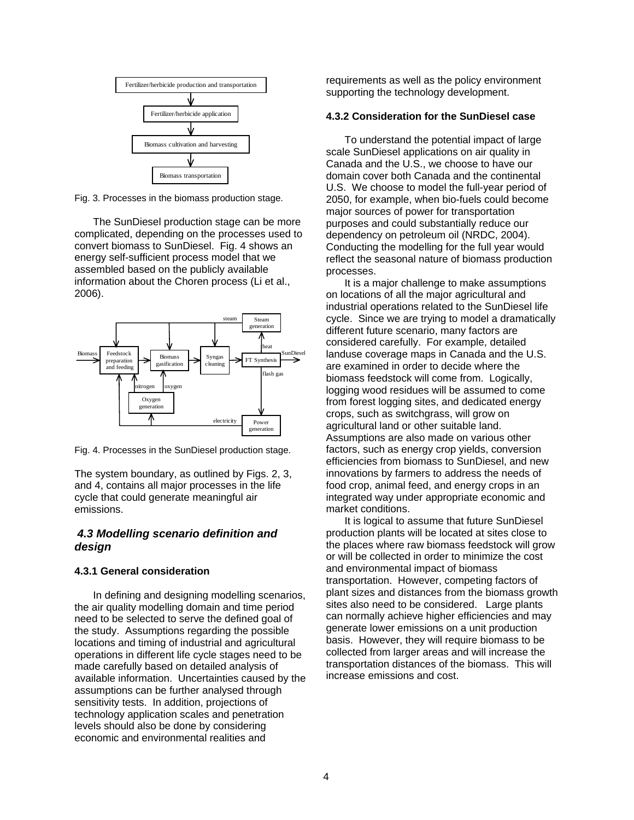

Fig. 3. Processes in the biomass production stage.

The SunDiesel production stage can be more complicated, depending on the processes used to convert biomass to SunDiesel. Fig. 4 shows an energy self-sufficient process model that we assembled based on the publicly available information about the Choren process (Li et al., 2006).



Fig. 4. Processes in the SunDiesel production stage.

The system boundary, as outlined by Figs. 2, 3, and 4, contains all major processes in the life cycle that could generate meaningful air emissions.

### *4.3 Modelling scenario definition and design*

### **4.3.1 General consideration**

In defining and designing modelling scenarios, the air quality modelling domain and time period need to be selected to serve the defined goal of the study. Assumptions regarding the possible locations and timing of industrial and agricultural operations in different life cycle stages need to be made carefully based on detailed analysis of available information. Uncertainties caused by the assumptions can be further analysed through sensitivity tests. In addition, projections of technology application scales and penetration levels should also be done by considering economic and environmental realities and

requirements as well as the policy environment supporting the technology development.

### **4.3.2 Consideration for the SunDiesel case**

To understand the potential impact of large scale SunDiesel applications on air quality in Canada and the U.S., we choose to have our domain cover both Canada and the continental U.S. We choose to model the full-year period of 2050, for example, when bio-fuels could become major sources of power for transportation purposes and could substantially reduce our dependency on petroleum oil (NRDC, 2004). Conducting the modelling for the full year would reflect the seasonal nature of biomass production processes.

It is a major challenge to make assumptions on locations of all the major agricultural and industrial operations related to the SunDiesel life cycle. Since we are trying to model a dramatically different future scenario, many factors are considered carefully. For example, detailed landuse coverage maps in Canada and the U.S. are examined in order to decide where the biomass feedstock will come from. Logically, logging wood residues will be assumed to come from forest logging sites, and dedicated energy crops, such as switchgrass, will grow on agricultural land or other suitable land. Assumptions are also made on various other factors, such as energy crop yields, conversion efficiencies from biomass to SunDiesel, and new innovations by farmers to address the needs of food crop, animal feed, and energy crops in an integrated way under appropriate economic and market conditions.

It is logical to assume that future SunDiesel production plants will be located at sites close to the places where raw biomass feedstock will grow or will be collected in order to minimize the cost and environmental impact of biomass transportation. However, competing factors of plant sizes and distances from the biomass growth sites also need to be considered. Large plants can normally achieve higher efficiencies and may generate lower emissions on a unit production basis. However, they will require biomass to be collected from larger areas and will increase the transportation distances of the biomass. This will increase emissions and cost.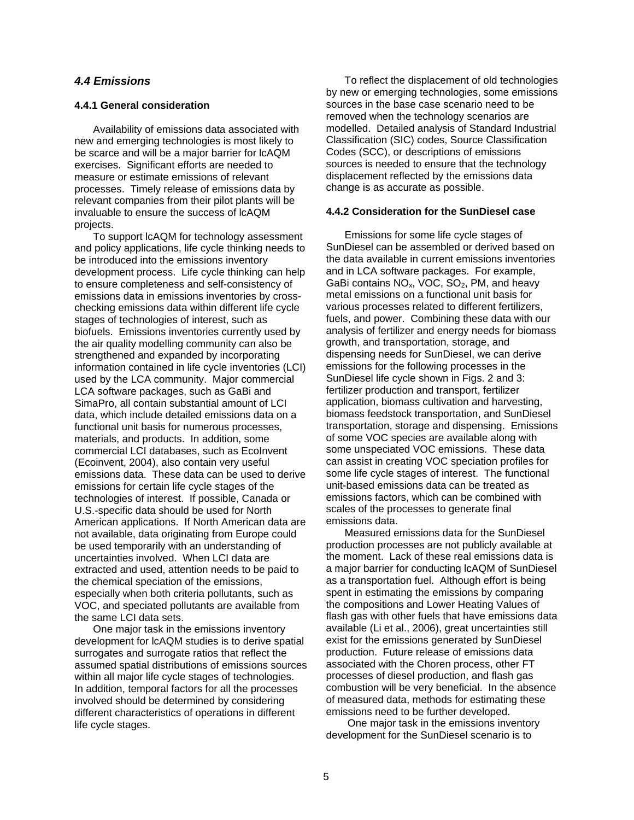### *4.4 Emissions*

#### **4.4.1 General consideration**

Availability of emissions data associated with new and emerging technologies is most likely to be scarce and will be a major barrier for lcAQM exercises. Significant efforts are needed to measure or estimate emissions of relevant processes. Timely release of emissions data by relevant companies from their pilot plants will be invaluable to ensure the success of lcAQM projects.

To support lcAQM for technology assessment and policy applications, life cycle thinking needs to be introduced into the emissions inventory development process. Life cycle thinking can help to ensure completeness and self-consistency of emissions data in emissions inventories by crosschecking emissions data within different life cycle stages of technologies of interest, such as biofuels. Emissions inventories currently used by the air quality modelling community can also be strengthened and expanded by incorporating information contained in life cycle inventories (LCI) used by the LCA community. Major commercial LCA software packages, such as GaBi and SimaPro, all contain substantial amount of LCI data, which include detailed emissions data on a functional unit basis for numerous processes, materials, and products. In addition, some commercial LCI databases, such as EcoInvent (Ecoinvent, 2004), also contain very useful emissions data. These data can be used to derive emissions for certain life cycle stages of the technologies of interest. If possible, Canada or U.S.-specific data should be used for North American applications. If North American data are not available, data originating from Europe could be used temporarily with an understanding of uncertainties involved. When LCI data are extracted and used, attention needs to be paid to the chemical speciation of the emissions, especially when both criteria pollutants, such as VOC, and speciated pollutants are available from the same LCI data sets.

One major task in the emissions inventory development for lcAQM studies is to derive spatial surrogates and surrogate ratios that reflect the assumed spatial distributions of emissions sources within all major life cycle stages of technologies. In addition, temporal factors for all the processes involved should be determined by considering different characteristics of operations in different life cycle stages.

To reflect the displacement of old technologies by new or emerging technologies, some emissions sources in the base case scenario need to be removed when the technology scenarios are modelled. Detailed analysis of Standard Industrial Classification (SIC) codes, Source Classification Codes (SCC), or descriptions of emissions sources is needed to ensure that the technology displacement reflected by the emissions data change is as accurate as possible.

### **4.4.2 Consideration for the SunDiesel case**

Emissions for some life cycle stages of SunDiesel can be assembled or derived based on the data available in current emissions inventories and in LCA software packages. For example, GaBi contains  $NO<sub>x</sub>$ , VOC, SO<sub>2</sub>, PM, and heavy metal emissions on a functional unit basis for various processes related to different fertilizers, fuels, and power. Combining these data with our analysis of fertilizer and energy needs for biomass growth, and transportation, storage, and dispensing needs for SunDiesel, we can derive emissions for the following processes in the SunDiesel life cycle shown in Figs. 2 and 3: fertilizer production and transport, fertilizer application, biomass cultivation and harvesting, biomass feedstock transportation, and SunDiesel transportation, storage and dispensing. Emissions of some VOC species are available along with some unspeciated VOC emissions. These data can assist in creating VOC speciation profiles for some life cycle stages of interest. The functional unit-based emissions data can be treated as emissions factors, which can be combined with scales of the processes to generate final emissions data.

Measured emissions data for the SunDiesel production processes are not publicly available at the moment. Lack of these real emissions data is a major barrier for conducting lcAQM of SunDiesel as a transportation fuel. Although effort is being spent in estimating the emissions by comparing the compositions and Lower Heating Values of flash gas with other fuels that have emissions data available (Li et al., 2006), great uncertainties still exist for the emissions generated by SunDiesel production. Future release of emissions data associated with the Choren process, other FT processes of diesel production, and flash gas combustion will be very beneficial. In the absence of measured data, methods for estimating these emissions need to be further developed.

 One major task in the emissions inventory development for the SunDiesel scenario is to